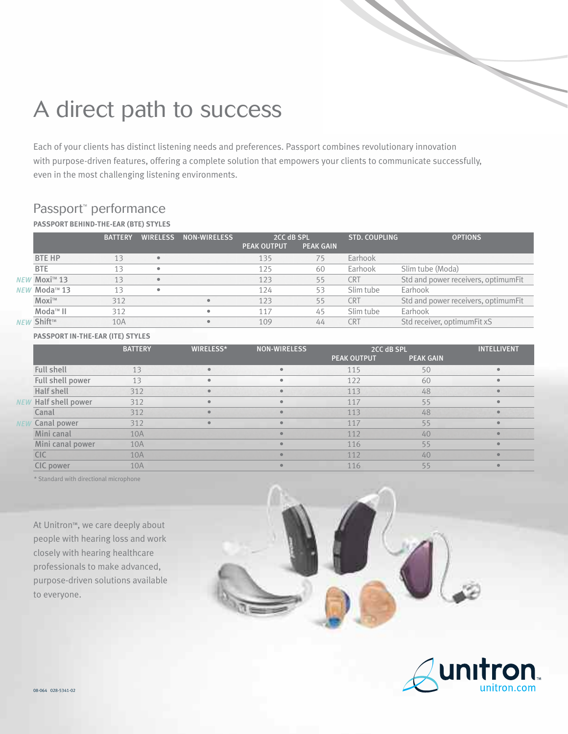# A direct path to success

Each of your clients has distinct listening needs and preferences. Passport combines revolutionary innovation with purpose-driven features, offering a complete solution that empowers your clients to communicate successfully, even in the most challenging listening environments.

## Passport™ performance

#### **PASSPORT BEHIND-THE-EAR (BTE) STYLES**

|                      | <b>BATTERY</b> | <b>WIRELESS</b> | <b>NON-WIRELESS</b> | 2CC dB SPL<br><b>PEAK OUTPUT</b> | <b>PEAK GAIN</b> | <b>STD. COUPLING</b> | <b>OPTIONS</b>                      |
|----------------------|----------------|-----------------|---------------------|----------------------------------|------------------|----------------------|-------------------------------------|
| <b>BTE HP</b>        | 13             | ٠               |                     | 135                              | 75               | Earhook              |                                     |
| <b>BTE</b>           | 13             | ۰               |                     | 125                              | 60               | Earhook              | Slim tube (Moda)                    |
| NEW Moxi™ 13         | 13             | ٠               |                     | 123                              | 55               | <b>CRT</b>           | Std and power receivers, optimumFit |
| NEW Moda™ 13         | 13             | ٠               |                     | 124                              | 53               | Slim tube            | Earhook                             |
| Moxi™                | 312            |                 |                     | 123                              | 55               | <b>CRT</b>           | Std and power receivers, optimumFit |
| Moda <sup>™</sup> II | 312            |                 | ٠                   | 117                              | 45               | Slim tube            | Earhook                             |
| NEW Shift™           | 10A            |                 |                     | 109                              | 44               | <b>CRT</b>           | Std receiver, optimumFit xS         |

**PASSPORT IN-THE-EAR (ITE) STYLES**

|  |                   | <b>BATTERY</b> | WIRELESS* | <b>NON-WIRELESS</b> | 2CC dB SPL         |                  | <b>INTELLIVENT</b> |
|--|-------------------|----------------|-----------|---------------------|--------------------|------------------|--------------------|
|  |                   |                |           |                     | <b>PEAK OUTPUT</b> | <b>PEAK GAIN</b> |                    |
|  | <b>Full shell</b> | 13             |           |                     | 115                | 50               |                    |
|  | Full shell power  | 13             |           |                     | 122                | 60               |                    |
|  | <b>Half shell</b> | 312            |           |                     | 113                | 48               |                    |
|  | Half shell power  | 312            |           |                     | 117                | 55               |                    |
|  | Canal             | 312            |           |                     | 113                | 48               |                    |
|  | Canal power       | 312            |           |                     | 117                | 55               |                    |
|  | Mini canal        | 10A            |           |                     | 112                | $40^{\circ}$     |                    |
|  | Mini canal power  | 10A            |           |                     | 116                | 55               |                    |
|  | <b>CIC</b>        | 10A            |           |                     | 112                | 40               |                    |
|  | CIC power         | 10A            |           |                     | 116                | 55               |                    |

\* Standard with directional microphone

At Unitron<sup>™</sup>, we care deeply about people with hearing loss and work closely with hearing healthcare professionals to make advanced, purpose-driven solutions available to everyone.



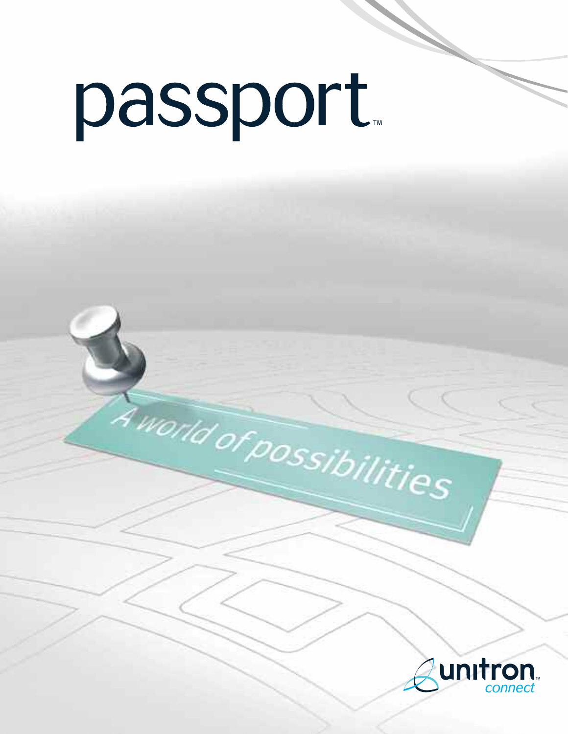# passport.

world of possibilities

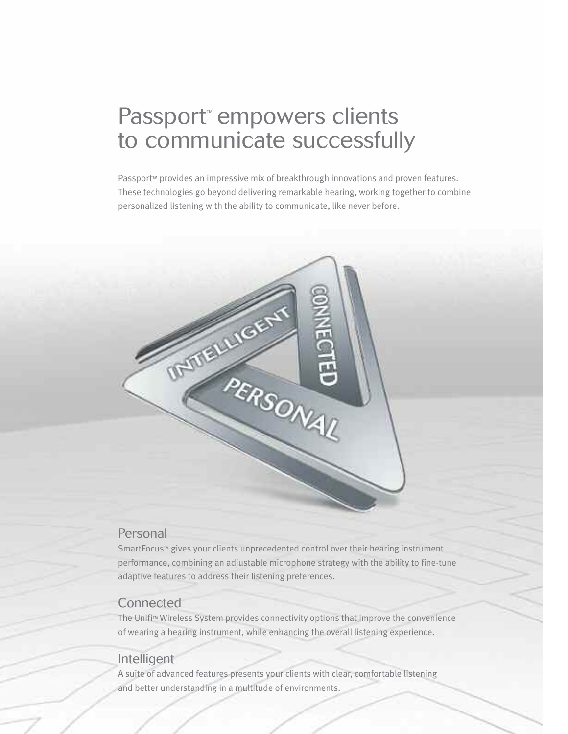## Passport<sup>™</sup> empowers clients to communicate successfully

Passport<sup>m</sup> provides an impressive mix of breakthrough innovations and proven features. These technologies go beyond delivering remarkable hearing, working together to combine personalized listening with the ability to communicate, like never before.



#### Personal

SmartFocus<sup>™</sup> gives your clients unprecedented control over their hearing instrument performance, combining an adjustable microphone strategy with the ability to fine-tune adaptive features to address their listening preferences.

#### **Connected**

The Unifi™ Wireless System provides connectivity options that improve the convenience of wearing a hearing instrument, while enhancing the overall listening experience.

#### Intelligent

A suite of advanced features presents your clients with clear, comfortable listening and better understanding in a multitude of environments.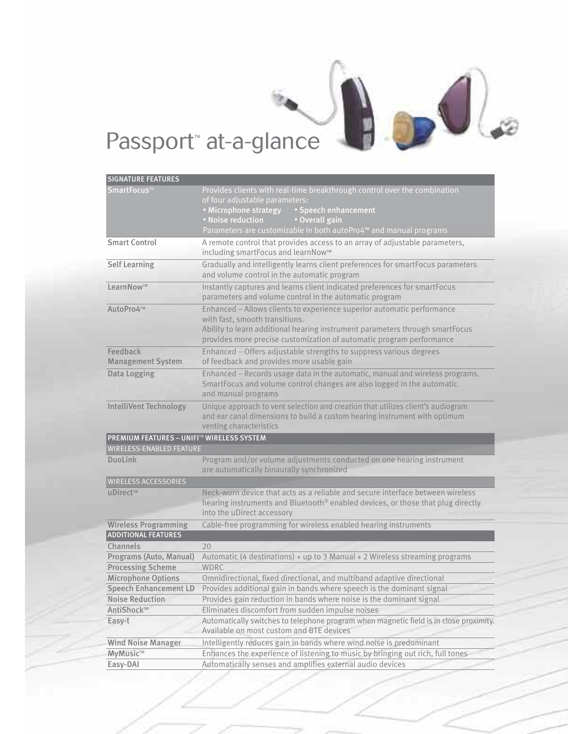## Passport<sup>™</sup> at-a-glance

| <b>SIGNATURE FEATURES</b>                                 |                                                                                                                                                                                                                                                                  |
|-----------------------------------------------------------|------------------------------------------------------------------------------------------------------------------------------------------------------------------------------------------------------------------------------------------------------------------|
| SmartFocus™                                               | Provides clients with real-time breakthrough control over the combination<br>of four adjustable parameters:<br>• Microphone strategy<br>• Speech enhancement                                                                                                     |
|                                                           | • Noise reduction<br>• Overall gain                                                                                                                                                                                                                              |
|                                                           | Parameters are customizable in both autoPro4™ and manual programs                                                                                                                                                                                                |
| <b>Smart Control</b>                                      | A remote control that provides access to an array of adjustable parameters,<br>including smartFocus and learnNow <sup>™</sup>                                                                                                                                    |
| <b>Self Learning</b>                                      | Gradually and intelligently learns client preferences for smartFocus parameters<br>and volume control in the automatic program                                                                                                                                   |
| LearnNow™                                                 | Instantly captures and learns client indicated preferences for smartFocus<br>parameters and volume control in the automatic program                                                                                                                              |
| AutoPro4™                                                 | Enhanced - Allows clients to experience superior automatic performance<br>with fast, smooth transitions.<br>Ability to learn additional hearing instrument parameters through smartFocus<br>provides more precise customization of automatic program performance |
| Feedback<br><b>Management System</b>                      | Enhanced - Offers adjustable strengths to suppress various degrees<br>of feedback and provides more usable gain                                                                                                                                                  |
| <b>Data Logging</b>                                       | Enhanced - Records usage data in the automatic, manual and wireless programs.<br>SmartFocus and volume control changes are also logged in the automatic<br>and manual programs                                                                                   |
| <b>IntelliVent Technology</b>                             | Unique approach to vent selection and creation that utilizes client's audiogram<br>and ear canal dimensions to build a custom hearing instrument with optimum<br>venting characteristics                                                                         |
| <b>PREMIUM FEATURES - UNIFI™ WIRELESS SYSTEM</b>          |                                                                                                                                                                                                                                                                  |
| <b>WIRELESS-ENABLED FEATURE</b>                           |                                                                                                                                                                                                                                                                  |
| <b>DuoLink</b>                                            | Program and/or volume adjustments conducted on one hearing instrument<br>are automatically binaurally synchronized                                                                                                                                               |
| <b>WIRELESS ACCESSORIES</b>                               |                                                                                                                                                                                                                                                                  |
| uDirect™                                                  | Neck-worn device that acts as a reliable and secure interface between wireless<br>hearing instruments and Bluetooth® enabled devices, or those that plug directly<br>into the uDirect accessory                                                                  |
| <b>Wireless Programming</b><br><b>ADDITIONAL FEATURES</b> | Cable-free programming for wireless enabled hearing instruments                                                                                                                                                                                                  |
| Channels                                                  | 20                                                                                                                                                                                                                                                               |
| Programs (Auto, Manual)                                   | Automatic (4 destinations) + up to 3 Manual + 2 Wireless streaming programs                                                                                                                                                                                      |
| <b>Processing Scheme</b>                                  | <b>WDRC</b>                                                                                                                                                                                                                                                      |
| <b>Microphone Options</b>                                 | Omnidirectional, fixed directional, and multiband adaptive directional                                                                                                                                                                                           |
| <b>Speech Enhancement LD</b>                              | Provides additional gain in bands where speech is the dominant signal                                                                                                                                                                                            |
| <b>Noise Reduction</b>                                    | Provides gain reduction in bands where noise is the dominant signal                                                                                                                                                                                              |
| AntiShock™                                                | Eliminates discomfort from sudden impulse noises                                                                                                                                                                                                                 |
| Easy-t                                                    | Automatically switches to telephone program when magnetic field is in close proximity.<br>Available on most custom and BTE devices                                                                                                                               |
| <b>Wind Noise Manager</b>                                 | Intelligently reduces gain in bands where wind noise is predominant                                                                                                                                                                                              |
| MyMusic™                                                  | Enhances the experience of listening to music by bringing out rich, full tones                                                                                                                                                                                   |
| Easy-DAI                                                  | Automatically senses and amplifies external audio devices                                                                                                                                                                                                        |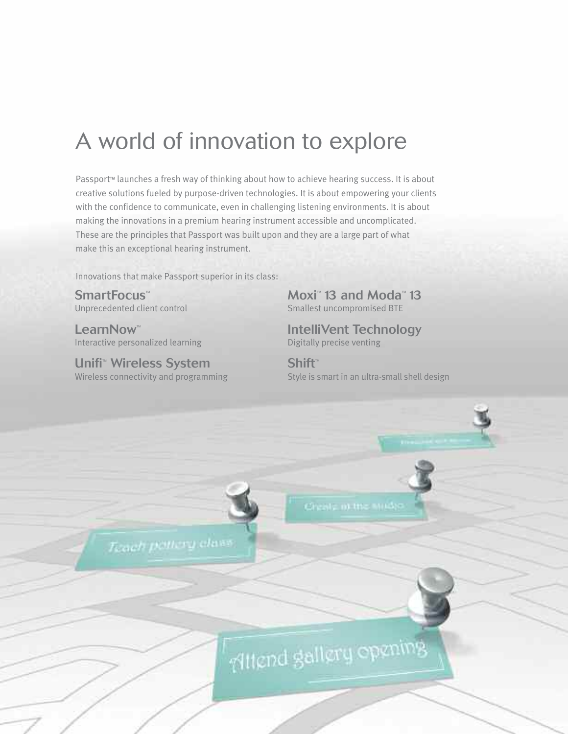## A world of innovation to explore

Passport<sup>M</sup> launches a fresh way of thinking about how to achieve hearing success. It is about creative solutions fueled by purpose-driven technologies. It is about empowering your clients with the confidence to communicate, even in challenging listening environments. It is about making the innovations in a premium hearing instrument accessible and uncomplicated. These are the principles that Passport was built upon and they are a large part of what make this an exceptional hearing instrument.

Innovations that make Passport superior in its class:

**SmartFocus<sup>™</sup><br>
Unprecedented client control** 

Interactive personalized learning Digitally precise venting

**Unifi** ™ **Wireless System Shift**™

™ **13 and Moda**™ **13** Smallest uncompromised BTE

**LearnNow**™ **IntelliVent Technology**

Wireless connectivity and programming Style is smart in an ultra-small shell design

**Teach pellery class** 

Create in the midst

Altend gallery opening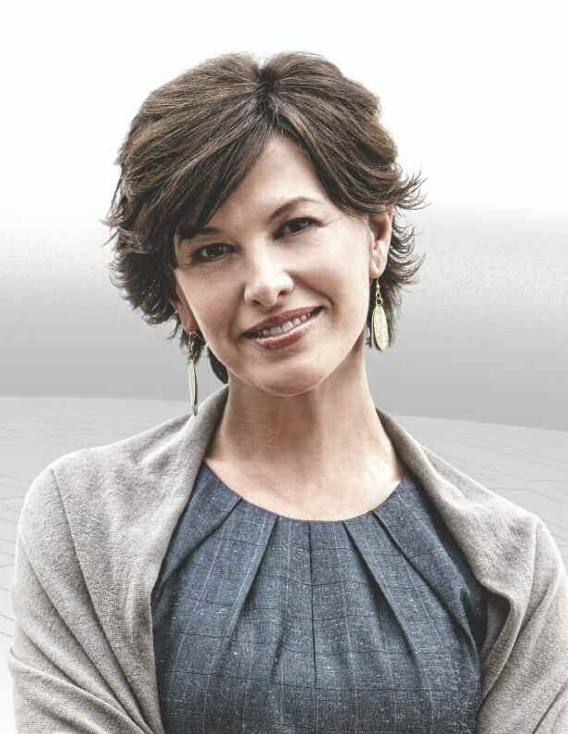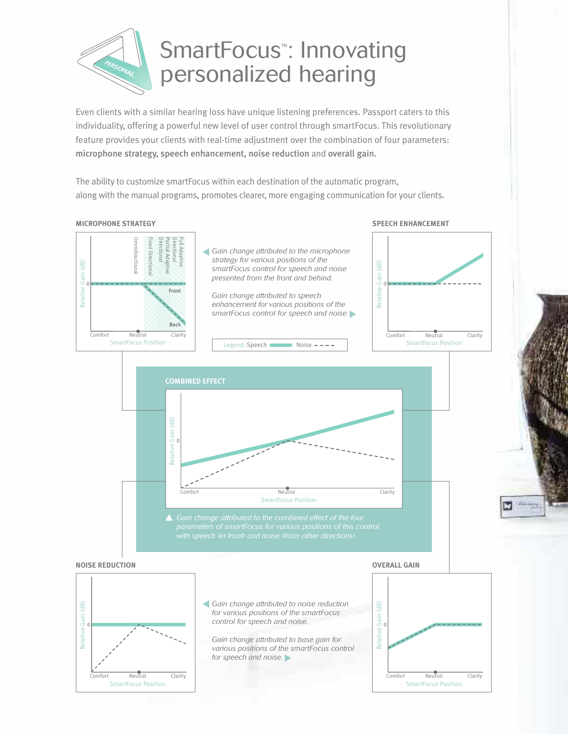

# SmartFocus™ : Innovating personalized hearing

Even clients with a similar hearing loss have unique listening preferences. Passport caters to this individuality, offering a powerful new level of user control through smartFocus. This revolutionary feature provides your clients with real-time adjustment over the combination of four parameters: microphone strategy, speech enhancement, noise reduction and overall gain.

The ability to customize smartFocus within each destination of the automatic program, along with the manual programs, promotes clearer, more engaging communication for your clients.

#### **MICROPHONE STRATEGY**

#### **SPEECH ENHANCEMENT**

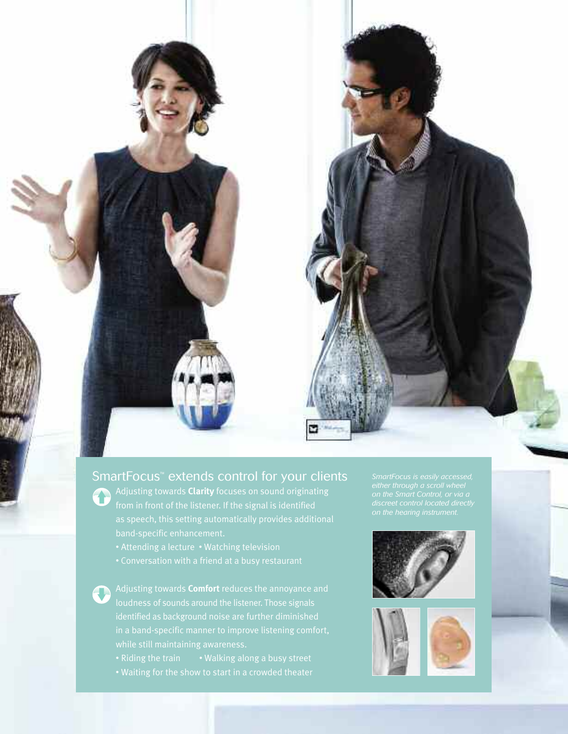## SmartFocus™ extends control for your clients

- Adjusting towards **Clarity** focuses on sound originating
- 
- 

Adjusting towards **Comfort** reduces the annoyance and



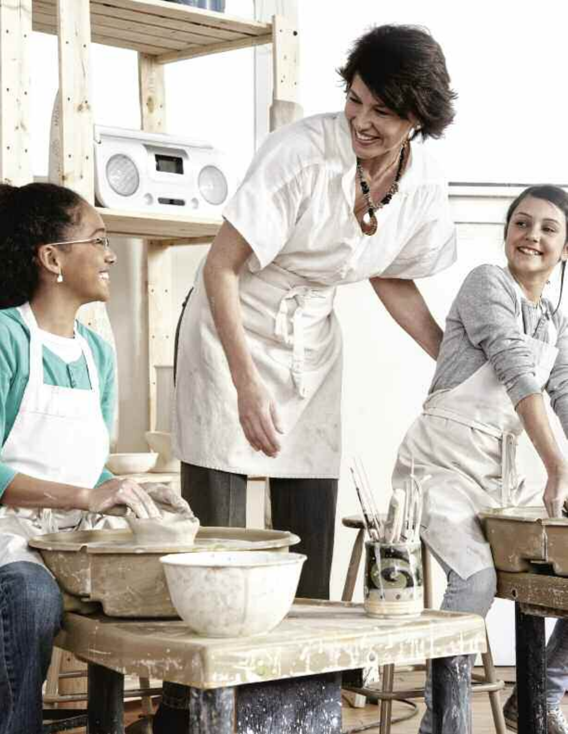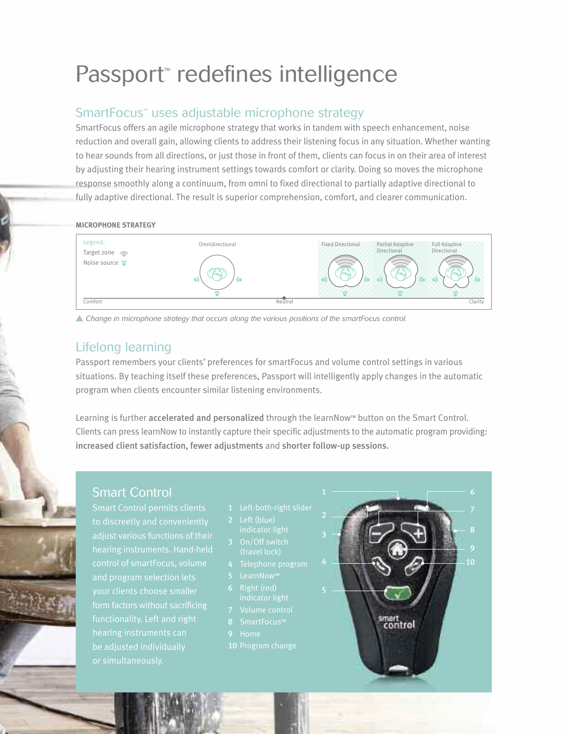# Passport™ redefines intelligence

#### SmartFocus™ uses adjustable microphone strategy

SmartFocus offers an agile microphone strategy that works in tandem with speech enhancement, noise reduction and overall gain, allowing clients to address their listening focus in any situation. Whether wanting to hear sounds from all directions, or just those in front of them, clients can focus in on their area of interest by adjusting their hearing instrument settings towards comfort or clarity. Doing so moves the microphone response smoothly along a continuum, from omni to fixed directional to partially adaptive directional to fully adaptive directional. The result is superior comprehension, comfort, and clearer communication.

#### **MICROPHONE STRATEGY**



*Change in microphone strategy that occurs along the various positions of the smartFocus control.*

## Lifelong learning

Passport remembers your clients' preferences for smartFocus and volume control settings in various situations. By teaching itself these preferences, Passport will intelligently apply changes in the automatic program when clients encounter similar listening environments.

Learning is further accelerated and personalized through the learnNow<sup>m</sup> button on the Smart Control. Clients can press learnNow to instantly capture their specific adjustments to the automatic program providing: increased client satisfaction, fewer adjustments and shorter follow-up sessions.

## Smart Control

Smart Control permits clients to discreetly and conveniently adjust various functions of their and program selection lets functionality. Left and right

- 
- 
- (travel lock)
- 
- 
- 
- 7 Volume control
- 
- 
- 

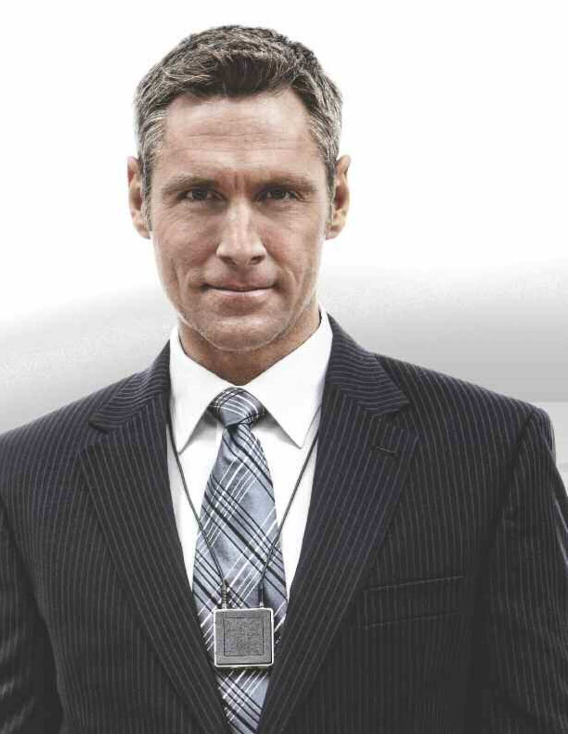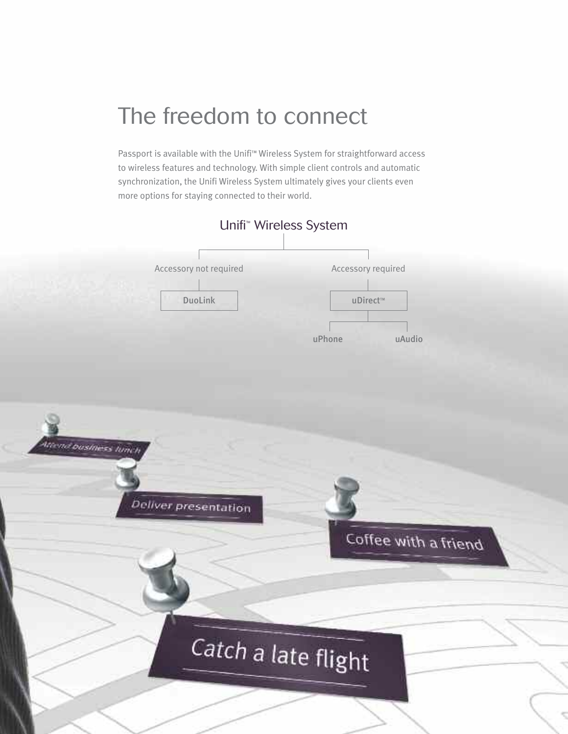## The freedom to connect

Passport is available with the Unifi<sup>th</sup> Wireless System for straightforward access to wireless features and technology. With simple client controls and automatic synchronization, the Unifi Wireless System ultimately gives your clients even more options for staying connected to their world.



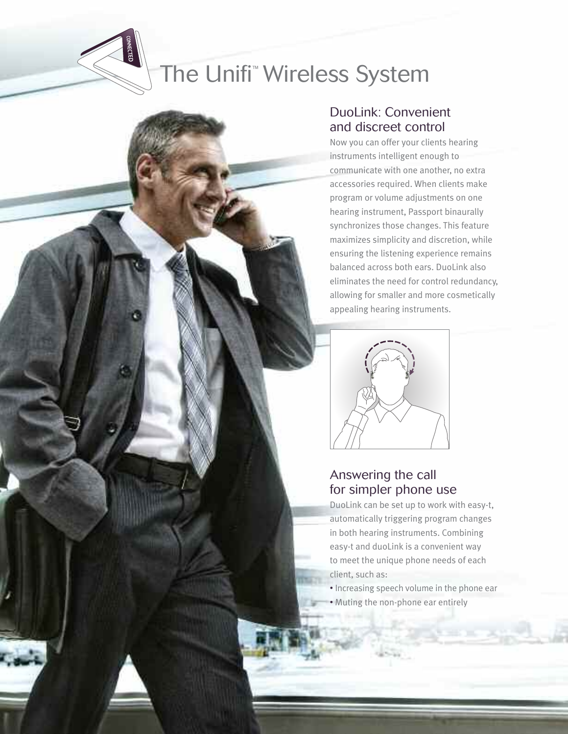# The Unifi<sup>™</sup> Wireless System

#### DuoLink: Convenient and discreet control

Now you can offer your clients hearing instruments intelligent enough to communicate with one another, no extra accessories required. When clients make program or volume adjustments on one hearing instrument, Passport binaurally synchronizes those changes. This feature maximizes simplicity and discretion, while ensuring the listening experience remains balanced across both ears. DuoLink also eliminates the need for control redundancy, allowing for smaller and more cosmetically appealing hearing instruments.



#### Answering the call for simpler phone use

DuoLink can be set up to work with easy-t, automatically triggering program changes in both hearing instruments. Combining easy-t and duoLink is a convenient way to meet the unique phone needs of each client, such as:

- Increasing speech volume in the phone ear
- Muting the non-phone ear entirely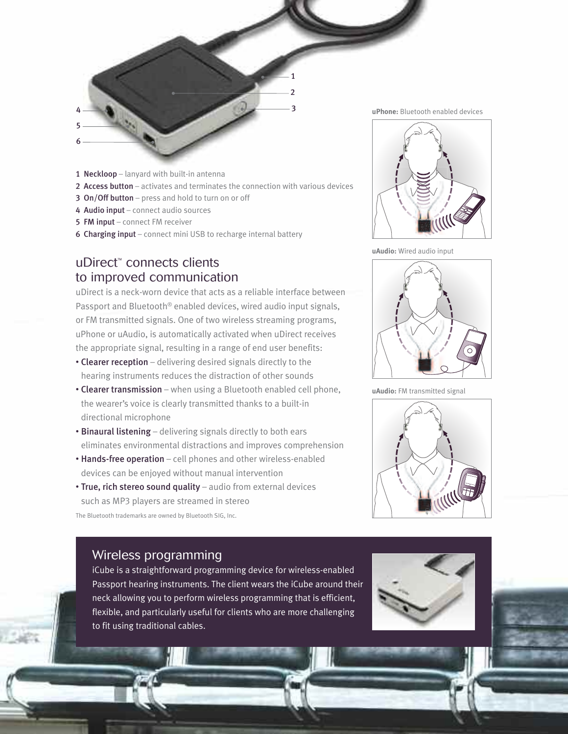1 Neckloop - lanyard with built-in antenna

2 Access button - activates and terminates the connection with various devices

 $\overline{2}$ 1

- 3 On/Off button press and hold to turn on or off
- 4 Audio input connect audio sources
- 5 FM input connect FM receiver

5 6

6 Charging input - connect mini USB to recharge internal battery

 $4 \longrightarrow 3$ 

#### uDirect™ connects clients to improved communication

uDirect is a neck-worn device that acts as a reliable interface between Passport and Bluetooth® enabled devices, wired audio input signals, or FM transmitted signals. One of two wireless streaming programs, uPhone or uAudio, is automatically activated when uDirect receives the appropriate signal, resulting in a range of end user benefits:

- Clearer reception delivering desired signals directly to the hearing instruments reduces the distraction of other sounds
- Clearer transmission when using a Bluetooth enabled cell phone, the wearer's voice is clearly transmitted thanks to a built-in directional microphone
- Binaural listening delivering signals directly to both ears eliminates environmental distractions and improves comprehension
- Hands-free operation cell phones and other wireless-enabled devices can be enjoyed without manual intervention
- True, rich stereo sound quality audio from external devices such as MP3 players are streamed in stereo

The Bluetooth trademarks are owned by Bluetooth SIG, Inc.

#### Wireless programming

iCube is a straightforward programming device for wireless-enabled Passport hearing instruments. The client wears the iCube around their neck allowing you to perform wireless programming that is efficient, flexible, and particularly useful for clients who are more challenging to fit using traditional cables.

**uPhone:** Bluetooth enabled devices



**uAudio:** Wired audio input



**uAudio:** FM transmitted signal



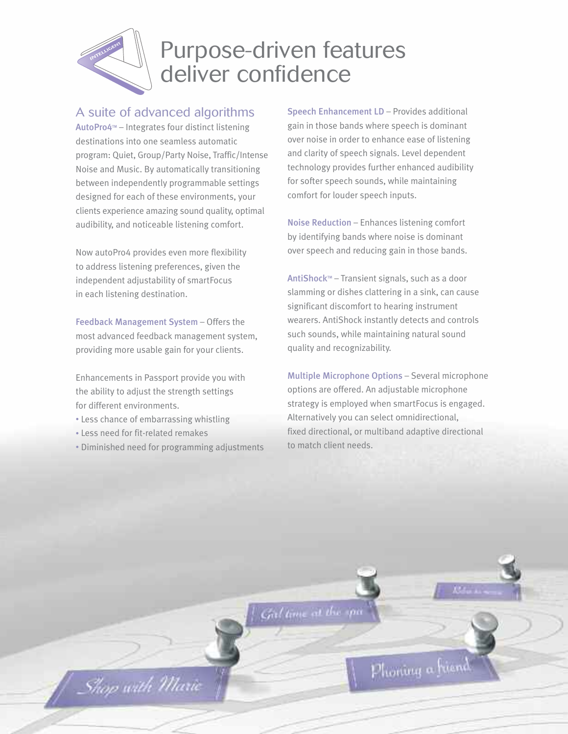

# Purpose-driven features deliver confidence

#### A suite of advanced algorithms

AutoPro4<sup>™</sup> – Integrates four distinct listening destinations into one seamless automatic program: Quiet, Group/Party Noise, Traffic/Intense Noise and Music. By automatically transitioning between independently programmable settings designed for each of these environments, your clients experience amazing sound quality, optimal audibility, and noticeable listening comfort.

Now autoPro4 provides even more flexibility to address listening preferences, given the independent adjustability of smartFocus in each listening destination.

Feedback Management System – Offers the most advanced feedback management system, providing more usable gain for your clients.

Enhancements in Passport provide you with the ability to adjust the strength settings for different environments.

- Less chance of embarrassing whistling
- Less need for fit-related remakes
- Diminished need for programming adjustments

Speech Enhancement LD – Provides additional gain in those bands where speech is dominant over noise in order to enhance ease of listening and clarity of speech signals. Level dependent technology provides further enhanced audibility for softer speech sounds, while maintaining comfort for louder speech inputs.

Noise Reduction – Enhances listening comfort by identifying bands where noise is dominant over speech and reducing gain in those bands.

AntiShock<sup>™</sup> – Transient signals, such as a door slamming or dishes clattering in a sink, can cause significant discomfort to hearing instrument wearers. AntiShock instantly detects and controls such sounds, while maintaining natural sound quality and recognizability.

Multiple Microphone Options – Several microphone options are offered. An adjustable microphone strategy is employed when smartFocus is engaged. Alternatively you can select omnidirectional, fixed directional, or multiband adaptive directional to match client needs.

<mark>! Gal time at the spa</mark>

**APT** 

Phoning a filend

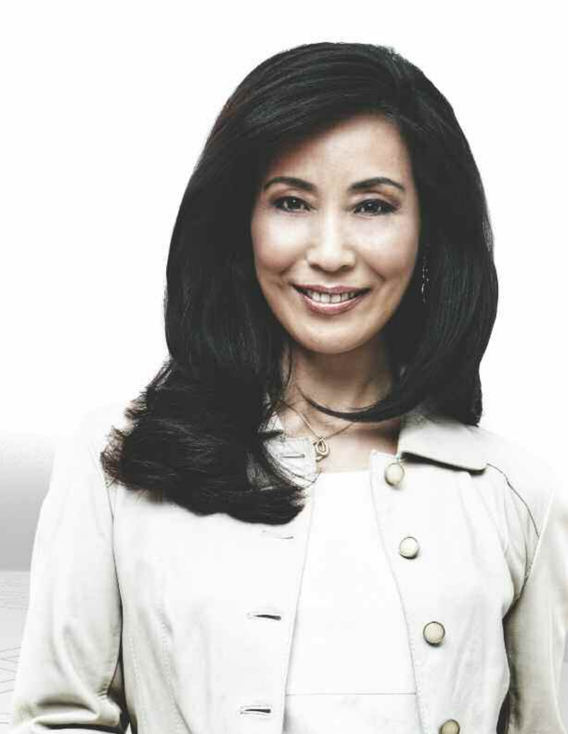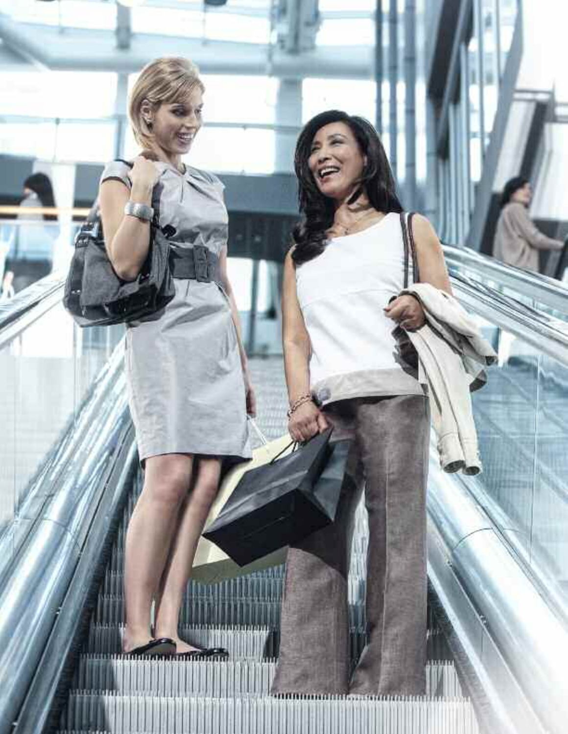